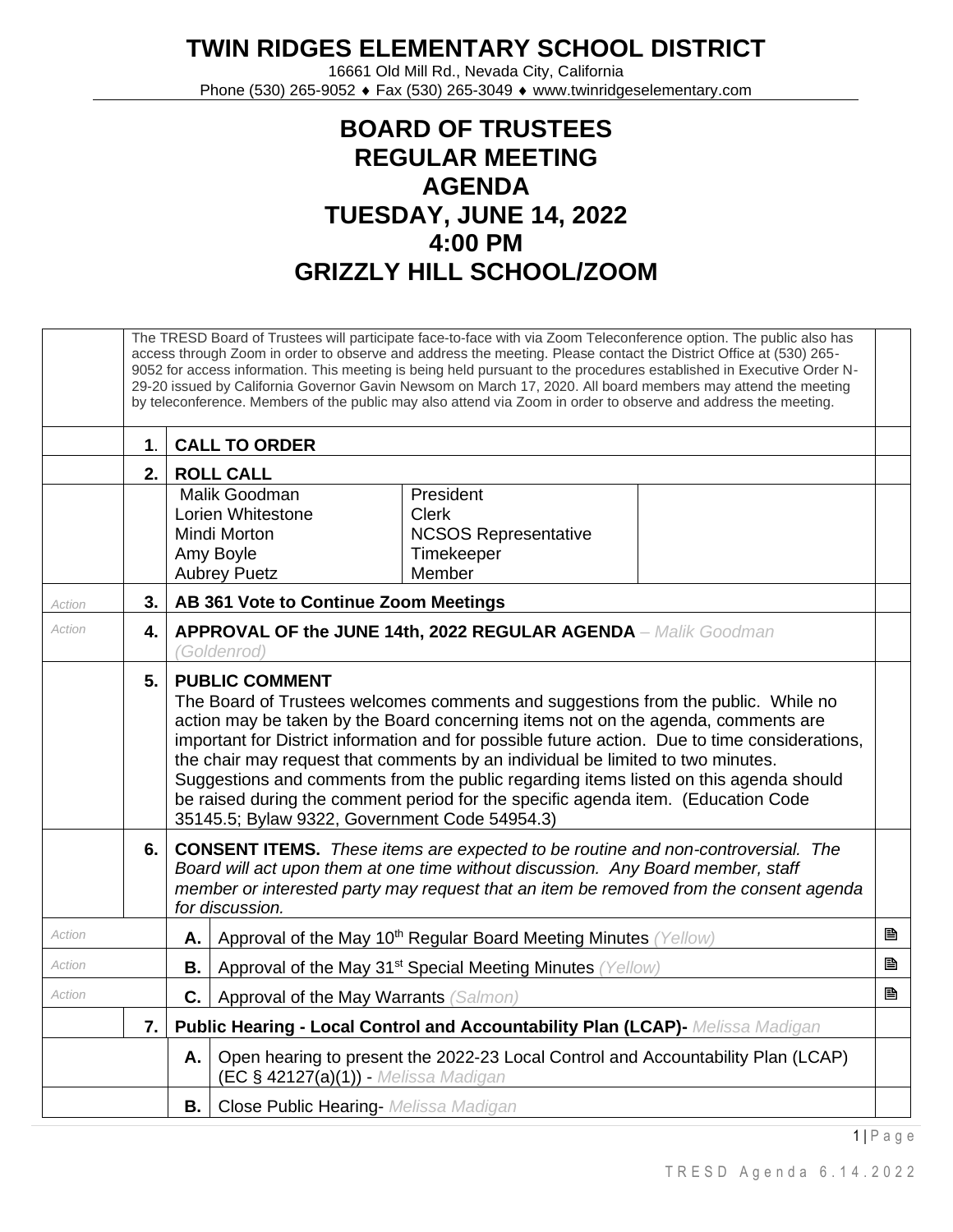## **TWIN RIDGES ELEMENTARY SCHOOL DISTRICT**

16661 Old Mill Rd., Nevada City, California Phone (530) 265-9052 ♦ Fax (530) 265-3049 ♦ www.twinridgeselementary.com

## **BOARD OF TRUSTEES REGULAR MEETING AGENDA TUESDAY, JUNE 14, 2022 4:00 PM GRIZZLY HILL SCHOOL/ZOOM**

|        |               |                                                                                                                                                                                                                                                                                                                                                                                                                                                                                                                                                                                                                     | The TRESD Board of Trustees will participate face-to-face with via Zoom Teleconference option. The public also has<br>access through Zoom in order to observe and address the meeting. Please contact the District Office at (530) 265-<br>9052 for access information. This meeting is being held pursuant to the procedures established in Executive Order N-<br>29-20 issued by California Governor Gavin Newsom on March 17, 2020. All board members may attend the meeting<br>by teleconference. Members of the public may also attend via Zoom in order to observe and address the meeting. |   |  |  |  |  |
|--------|---------------|---------------------------------------------------------------------------------------------------------------------------------------------------------------------------------------------------------------------------------------------------------------------------------------------------------------------------------------------------------------------------------------------------------------------------------------------------------------------------------------------------------------------------------------------------------------------------------------------------------------------|---------------------------------------------------------------------------------------------------------------------------------------------------------------------------------------------------------------------------------------------------------------------------------------------------------------------------------------------------------------------------------------------------------------------------------------------------------------------------------------------------------------------------------------------------------------------------------------------------|---|--|--|--|--|
|        | $\mathbf 1$ . |                                                                                                                                                                                                                                                                                                                                                                                                                                                                                                                                                                                                                     | <b>CALL TO ORDER</b>                                                                                                                                                                                                                                                                                                                                                                                                                                                                                                                                                                              |   |  |  |  |  |
|        | 2.1           | <b>ROLL CALL</b>                                                                                                                                                                                                                                                                                                                                                                                                                                                                                                                                                                                                    |                                                                                                                                                                                                                                                                                                                                                                                                                                                                                                                                                                                                   |   |  |  |  |  |
|        |               |                                                                                                                                                                                                                                                                                                                                                                                                                                                                                                                                                                                                                     | Malik Goodman<br>President<br>Lorien Whitestone<br><b>Clerk</b><br><b>Mindi Morton</b><br><b>NCSOS Representative</b><br>Timekeeper<br>Amy Boyle<br>Member<br><b>Aubrey Puetz</b>                                                                                                                                                                                                                                                                                                                                                                                                                 |   |  |  |  |  |
| Action | 3.1           |                                                                                                                                                                                                                                                                                                                                                                                                                                                                                                                                                                                                                     | AB 361 Vote to Continue Zoom Meetings                                                                                                                                                                                                                                                                                                                                                                                                                                                                                                                                                             |   |  |  |  |  |
| Action | 4.            | APPROVAL OF the JUNE 14th, 2022 REGULAR AGENDA - Malik Goodman<br>(Goldenrod)                                                                                                                                                                                                                                                                                                                                                                                                                                                                                                                                       |                                                                                                                                                                                                                                                                                                                                                                                                                                                                                                                                                                                                   |   |  |  |  |  |
|        | 5.            | <b>PUBLIC COMMENT</b><br>The Board of Trustees welcomes comments and suggestions from the public. While no<br>action may be taken by the Board concerning items not on the agenda, comments are<br>important for District information and for possible future action. Due to time considerations,<br>the chair may request that comments by an individual be limited to two minutes.<br>Suggestions and comments from the public regarding items listed on this agenda should<br>be raised during the comment period for the specific agenda item. (Education Code<br>35145.5; Bylaw 9322, Government Code 54954.3) |                                                                                                                                                                                                                                                                                                                                                                                                                                                                                                                                                                                                   |   |  |  |  |  |
|        | 6.            | <b>CONSENT ITEMS.</b> These items are expected to be routine and non-controversial. The<br>Board will act upon them at one time without discussion. Any Board member, staff<br>member or interested party may request that an item be removed from the consent agenda<br>for discussion.                                                                                                                                                                                                                                                                                                                            |                                                                                                                                                                                                                                                                                                                                                                                                                                                                                                                                                                                                   |   |  |  |  |  |
| Action |               | А.                                                                                                                                                                                                                                                                                                                                                                                                                                                                                                                                                                                                                  | Approval of the May 10 <sup>th</sup> Regular Board Meeting Minutes (Yellow)                                                                                                                                                                                                                                                                                                                                                                                                                                                                                                                       | e |  |  |  |  |
| Action |               | В.                                                                                                                                                                                                                                                                                                                                                                                                                                                                                                                                                                                                                  | Approval of the May 31 <sup>st</sup> Special Meeting Minutes (Yellow)                                                                                                                                                                                                                                                                                                                                                                                                                                                                                                                             | B |  |  |  |  |
| Action |               | C.                                                                                                                                                                                                                                                                                                                                                                                                                                                                                                                                                                                                                  | Approval of the May Warrants (Salmon)                                                                                                                                                                                                                                                                                                                                                                                                                                                                                                                                                             | B |  |  |  |  |
|        | 7. I          |                                                                                                                                                                                                                                                                                                                                                                                                                                                                                                                                                                                                                     | Public Hearing - Local Control and Accountability Plan (LCAP)- Melissa Madigan                                                                                                                                                                                                                                                                                                                                                                                                                                                                                                                    |   |  |  |  |  |
|        |               | Open hearing to present the 2022-23 Local Control and Accountability Plan (LCAP)<br>Α.<br>(EC § 42127(a)(1)) - Melissa Madigan                                                                                                                                                                                                                                                                                                                                                                                                                                                                                      |                                                                                                                                                                                                                                                                                                                                                                                                                                                                                                                                                                                                   |   |  |  |  |  |
|        |               | <b>B.</b>                                                                                                                                                                                                                                                                                                                                                                                                                                                                                                                                                                                                           | <b>Close Public Hearing- Melissa Madigan</b>                                                                                                                                                                                                                                                                                                                                                                                                                                                                                                                                                      |   |  |  |  |  |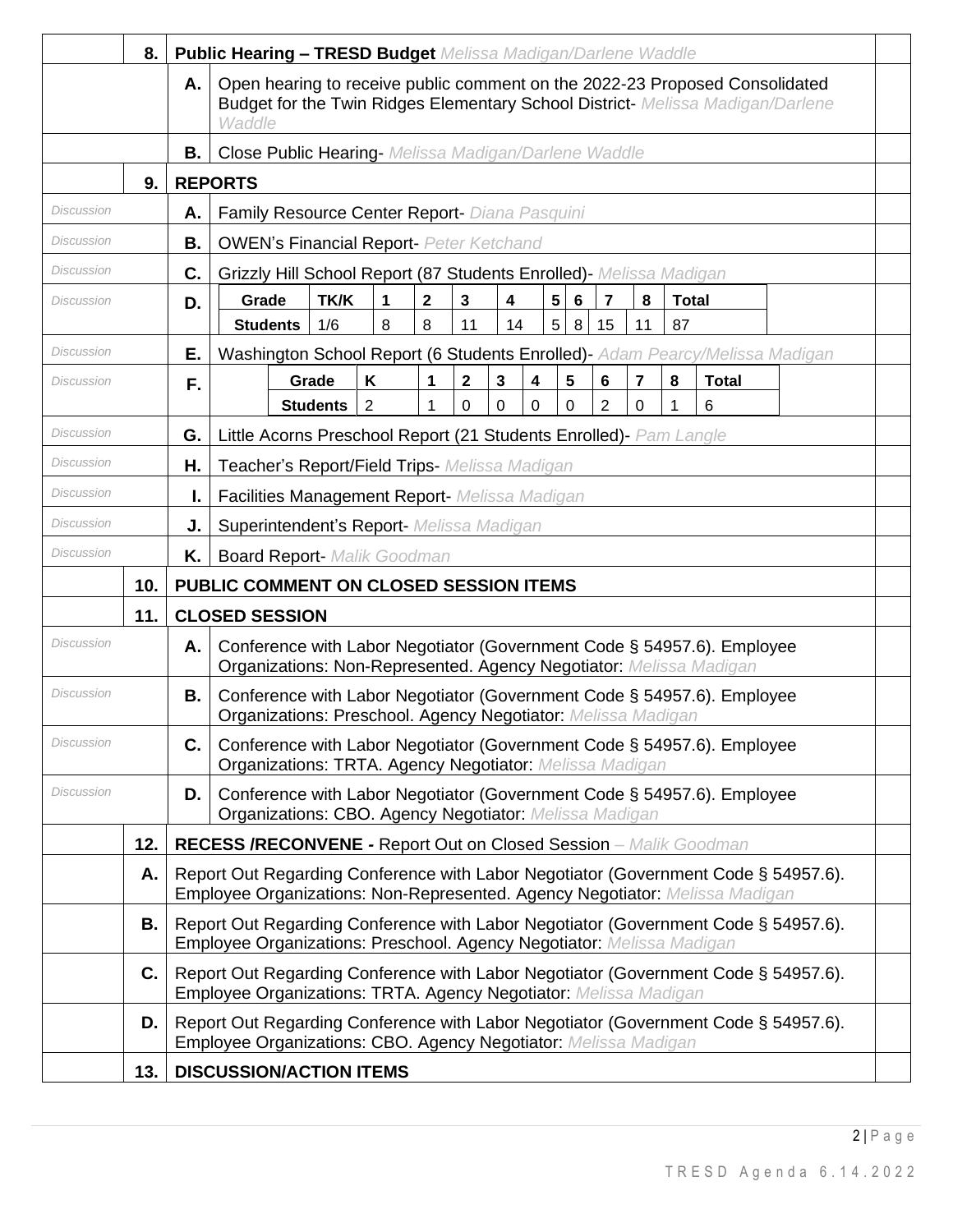|                   | 8.  |           | <b>Public Hearing - TRESD Budget Melissa Madigan/Darlene Waddle</b>                                                                                                                     |
|-------------------|-----|-----------|-----------------------------------------------------------------------------------------------------------------------------------------------------------------------------------------|
|                   |     | Α.        | Open hearing to receive public comment on the 2022-23 Proposed Consolidated<br>Budget for the Twin Ridges Elementary School District- Melissa Madigan/Darlene<br>Waddle                 |
|                   |     | В.        | <b>Close Public Hearing-</b> Melissa Madigan/Darlene Waddle                                                                                                                             |
|                   | 9.  |           | <b>REPORTS</b>                                                                                                                                                                          |
| Discussion        |     | Α.        | Family Resource Center Report- Diana Pasquini                                                                                                                                           |
| Discussion        |     | В.        | <b>OWEN's Financial Report- Peter Ketchand</b>                                                                                                                                          |
| Discussion        |     | C.        | Grizzly Hill School Report (87 Students Enrolled) - Melissa Madigan                                                                                                                     |
| <b>Discussion</b> |     | D.        | 5<br>$\mathbf 2$<br><b>TK/K</b><br>$\mathbf{3}$<br>7<br>8<br>Grade<br>4<br>$6\phantom{1}6$<br><b>Total</b><br>1                                                                         |
| Discussion        |     | Е.        | 1/6<br>8<br>8<br>11<br>14<br>5<br>87<br>8<br>15<br><b>Students</b><br>11                                                                                                                |
| Discussion        |     | F.        | Washington School Report (6 Students Enrolled) - Adam Pearcy/Melissa Madigan<br>$\overline{7}$<br>K<br>3<br>4<br>5<br>$6\phantom{1}$<br>8<br>Grade<br>$\mathbf{2}$<br><b>Total</b><br>1 |
|                   |     |           | $\overline{2}$<br><b>Students</b><br>$\overline{2}$<br>0<br>0<br>0<br>0<br>0<br>6<br>1<br>1                                                                                             |
| <b>Discussion</b> |     | G.        | Little Acorns Preschool Report (21 Students Enrolled)- Pam Langle                                                                                                                       |
| Discussion        |     | Η.        | Teacher's Report/Field Trips- Melissa Madigan                                                                                                                                           |
| Discussion        |     | I.        | Facilities Management Report- Melissa Madigan                                                                                                                                           |
| Discussion        |     | J.        | <b>Superintendent's Report-</b> Melissa Madigan                                                                                                                                         |
| Discussion        |     | Κ.        | <b>Board Report- Malik Goodman</b>                                                                                                                                                      |
|                   | 10. |           | PUBLIC COMMENT ON CLOSED SESSION ITEMS                                                                                                                                                  |
|                   | 11. |           | <b>CLOSED SESSION</b>                                                                                                                                                                   |
| Discussion        |     | Α.        | Conference with Labor Negotiator (Government Code § 54957.6). Employee<br>Organizations: Non-Represented. Agency Negotiator: Melissa Madigan                                            |
| <b>Discussion</b> |     | <b>B.</b> | Conference with Labor Negotiator (Government Code § 54957.6). Employee<br>Organizations: Preschool. Agency Negotiator: Melissa Madigan                                                  |
| Discussion        |     | C.        | Conference with Labor Negotiator (Government Code § 54957.6). Employee<br>Organizations: TRTA. Agency Negotiator: Melissa Madigan                                                       |
| Discussion        |     | D.        | Conference with Labor Negotiator (Government Code § 54957.6). Employee<br>Organizations: CBO. Agency Negotiator: Melissa Madigan                                                        |
|                   | 12. |           | <b>RECESS /RECONVENE - Report Out on Closed Session</b> - Malik Goodman                                                                                                                 |
|                   | Α.  |           | Report Out Regarding Conference with Labor Negotiator (Government Code § 54957.6).<br>Employee Organizations: Non-Represented. Agency Negotiator: Melissa Madigan                       |
|                   | В.  |           | Report Out Regarding Conference with Labor Negotiator (Government Code § 54957.6).<br>Employee Organizations: Preschool. Agency Negotiator: Melissa Madigan                             |
|                   | C.  |           | Report Out Regarding Conference with Labor Negotiator (Government Code § 54957.6).<br>Employee Organizations: TRTA. Agency Negotiator: Melissa Madigan                                  |
|                   | D.  |           | Report Out Regarding Conference with Labor Negotiator (Government Code § 54957.6).<br>Employee Organizations: CBO. Agency Negotiator: Melissa Madigan                                   |
|                   | 13. |           | <b>DISCUSSION/ACTION ITEMS</b>                                                                                                                                                          |